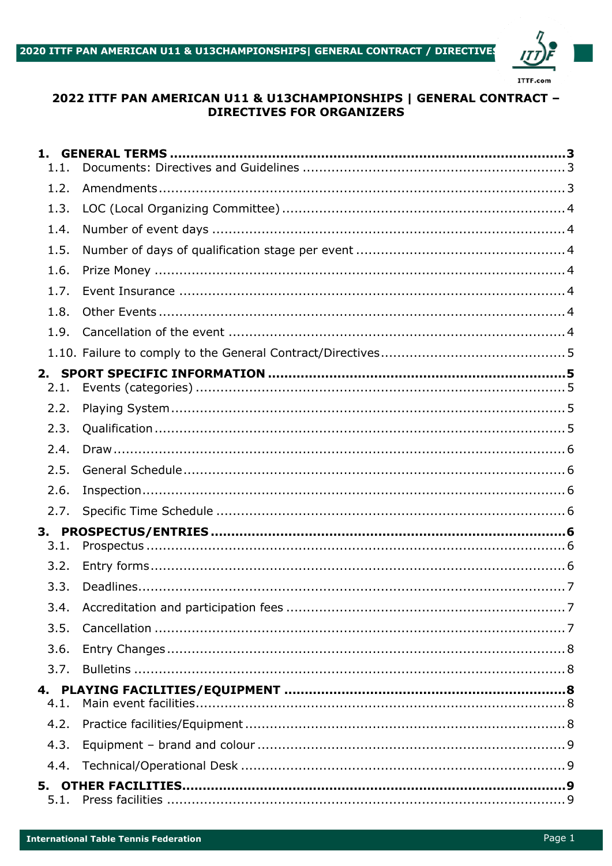

## 2022 ITTF PAN AMERICAN U11 & U13CHAMPIONSHIPS | GENERAL CONTRACT -**DIRECTIVES FOR ORGANIZERS**

| 1.<br>1.1. |  |
|------------|--|
| 1.2.       |  |
| 1.3.       |  |
| 1.4.       |  |
| 1.5.       |  |
| 1.6.       |  |
| 1.7.       |  |
| 1.8.       |  |
| 1.9.       |  |
|            |  |
| 2.         |  |
| 2.1.       |  |
| 2.2.       |  |
| 2.3.       |  |
| 2.4.       |  |
| 2.5.       |  |
| 2.6.       |  |
| 2.7.       |  |
|            |  |
| 3.1.       |  |
| 3.2.       |  |
| 3.3.       |  |
| 3.4.       |  |
| 3.5.       |  |
| 3.6.       |  |
| 3.7.       |  |
|            |  |
| 4.1.       |  |
| 4.2.       |  |
| 4.3.       |  |
| 4.4.       |  |
| 5.         |  |
| 5.1.       |  |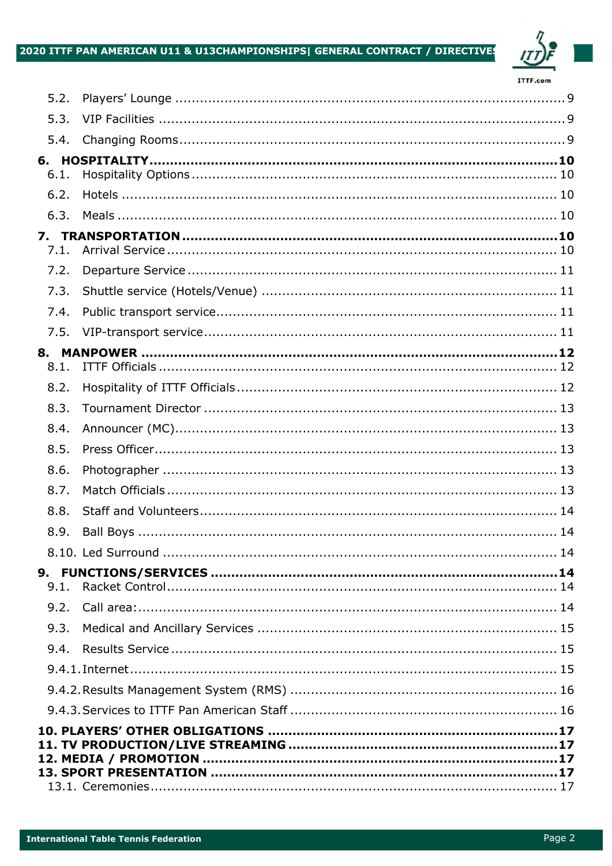# 2020 ITTF PAN AMERICAN U11 & U13CHAMPIONSHIPS| GENERAL CONTRACT / DIRECTIVES



| 5.2.       |  |  |  |  |  |
|------------|--|--|--|--|--|
| 5.3.       |  |  |  |  |  |
| 5.4.       |  |  |  |  |  |
|            |  |  |  |  |  |
| 6.1.       |  |  |  |  |  |
| 6.2.       |  |  |  |  |  |
| 6.3.       |  |  |  |  |  |
| 7.<br>7.1. |  |  |  |  |  |
|            |  |  |  |  |  |
| 7.2.       |  |  |  |  |  |
| 7.3.       |  |  |  |  |  |
| 7.4.       |  |  |  |  |  |
| 7.5.       |  |  |  |  |  |
| 8.1.       |  |  |  |  |  |
| 8.2.       |  |  |  |  |  |
| 8.3.       |  |  |  |  |  |
|            |  |  |  |  |  |
| 8.4.       |  |  |  |  |  |
| 8.5.       |  |  |  |  |  |
| 8.6.       |  |  |  |  |  |
| 8.7.       |  |  |  |  |  |
| 8.8.       |  |  |  |  |  |
| 8.9.       |  |  |  |  |  |
|            |  |  |  |  |  |
| 9.1.       |  |  |  |  |  |
| 9.2.       |  |  |  |  |  |
| 9.3.       |  |  |  |  |  |
| 9.4.       |  |  |  |  |  |
|            |  |  |  |  |  |
|            |  |  |  |  |  |
|            |  |  |  |  |  |
|            |  |  |  |  |  |
|            |  |  |  |  |  |
|            |  |  |  |  |  |
|            |  |  |  |  |  |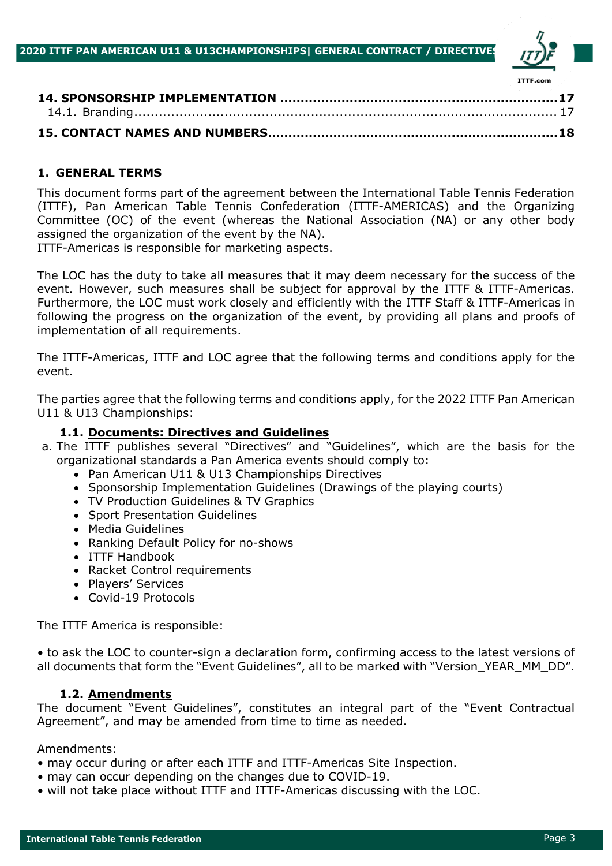

| <b>IIIF.COM</b> |
|-----------------|
|                 |
|                 |
|                 |

## **1. GENERAL TERMS**

This document forms part of the agreement between the International Table Tennis Federation (ITTF), Pan American Table Tennis Confederation (ITTF-AMERICAS) and the Organizing Committee (OC) of the event (whereas the National Association (NA) or any other body assigned the organization of the event by the NA).

ITTF-Americas is responsible for marketing aspects.

The LOC has the duty to take all measures that it may deem necessary for the success of the event. However, such measures shall be subject for approval by the ITTF & ITTF-Americas. Furthermore, the LOC must work closely and efficiently with the ITTF Staff & ITTF-Americas in following the progress on the organization of the event, by providing all plans and proofs of implementation of all requirements.

The ITTF-Americas, ITTF and LOC agree that the following terms and conditions apply for the event.

The parties agree that the following terms and conditions apply, for the 2022 ITTF Pan American U11 & U13 Championships:

## **1.1. Documents: Directives and Guidelines**

- a. The ITTF publishes several "Directives" and "Guidelines", which are the basis for the organizational standards a Pan America events should comply to:
	- Pan American U11 & U13 Championships Directives
	- Sponsorship Implementation Guidelines (Drawings of the playing courts)
	- TV Production Guidelines & TV Graphics
	- Sport Presentation Guidelines
	- Media Guidelines
	- Ranking Default Policy for no-shows
	- ITTF Handbook
	- Racket Control requirements
	- Players' Services
	- Covid-19 Protocols

The ITTF America is responsible:

• to ask the LOC to counter-sign a declaration form, confirming access to the latest versions of all documents that form the "Event Guidelines", all to be marked with "Version\_YEAR\_MM\_DD".

## **1.2. Amendments**

The document "Event Guidelines", constitutes an integral part of the "Event Contractual Agreement", and may be amended from time to time as needed.

Amendments:

- may occur during or after each ITTF and ITTF-Americas Site Inspection.
- may can occur depending on the changes due to COVID-19.
- will not take place without ITTF and ITTF-Americas discussing with the LOC.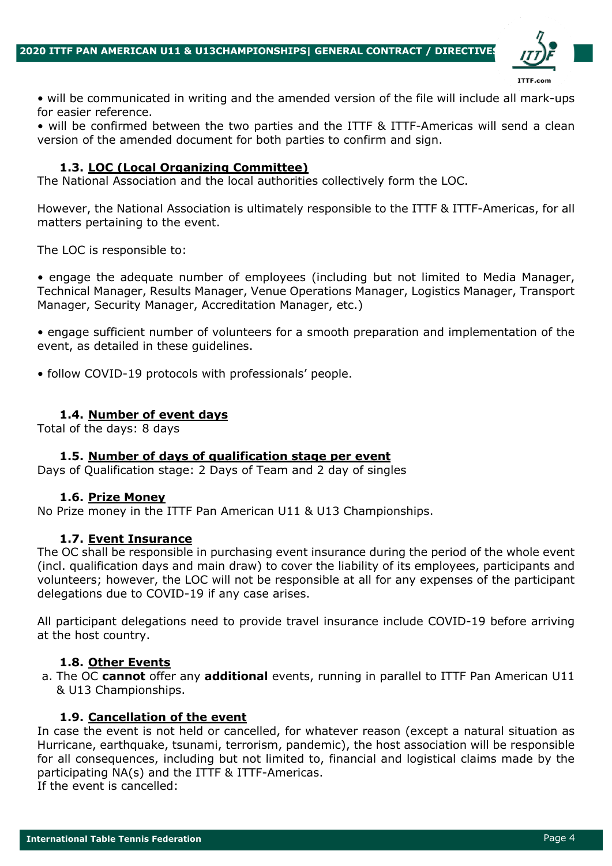

• will be communicated in writing and the amended version of the file will include all mark-ups for easier reference.

• will be confirmed between the two parties and the ITTF & ITTF-Americas will send a clean version of the amended document for both parties to confirm and sign.

## **1.3. LOC (Local Organizing Committee)**

The National Association and the local authorities collectively form the LOC.

However, the National Association is ultimately responsible to the ITTF & ITTF-Americas, for all matters pertaining to the event.

The LOC is responsible to:

• engage the adequate number of employees (including but not limited to Media Manager, Technical Manager, Results Manager, Venue Operations Manager, Logistics Manager, Transport Manager, Security Manager, Accreditation Manager, etc.)

• engage sufficient number of volunteers for a smooth preparation and implementation of the event, as detailed in these guidelines.

• follow COVID-19 protocols with professionals' people.

#### **1.4. Number of event days**

Total of the days: 8 days

#### **1.5. Number of days of qualification stage per event**

Days of Qualification stage: 2 Days of Team and 2 day of singles

#### **1.6. Prize Money**

No Prize money in the ITTF Pan American U11 & U13 Championships.

#### **1.7. Event Insurance**

The OC shall be responsible in purchasing event insurance during the period of the whole event (incl. qualification days and main draw) to cover the liability of its employees, participants and volunteers; however, the LOC will not be responsible at all for any expenses of the participant delegations due to COVID-19 if any case arises.

All participant delegations need to provide travel insurance include COVID-19 before arriving at the host country.

#### **1.8. Other Events**

a. The OC **cannot** offer any **additional** events, running in parallel to ITTF Pan American U11 & U13 Championships.

#### **1.9. Cancellation of the event**

In case the event is not held or cancelled, for whatever reason (except a natural situation as Hurricane, earthquake, tsunami, terrorism, pandemic), the host association will be responsible for all consequences, including but not limited to, financial and logistical claims made by the participating NA(s) and the ITTF & ITTF-Americas. If the event is cancelled: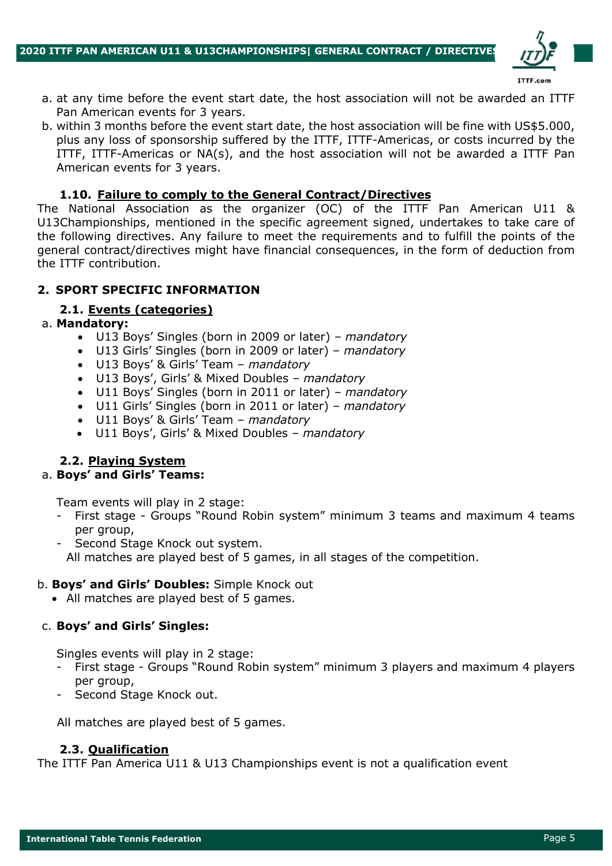

- a. at any time before the event start date, the host association will not be awarded an ITTF Pan American events for 3 years.
- b. within 3 months before the event start date, the host association will be fine with US\$5.000, plus any loss of sponsorship suffered by the ITTF, ITTF-Americas, or costs incurred by the ITTF, ITTF-Americas or NA(s), and the host association will not be awarded a ITTF Pan American events for 3 years.

### **1.10. Failure to comply to the General Contract/Directives**

The National Association as the organizer (OC) of the ITTF Pan American U11 & U13Championships, mentioned in the specific agreement signed, undertakes to take care of the following directives. Any failure to meet the requirements and to fulfill the points of the general contract/directives might have financial consequences, in the form of deduction from the ITTF contribution.

## **2. SPORT SPECIFIC INFORMATION**

## **2.1. Events (categories)**

#### a. **Mandatory:**

- U13 Boys' Singles (born in 2009 or later) *mandatory*
- U13 Girls' Singles (born in 2009 or later) *mandatory*
- U13 Boys' & Girls' Team *mandatory*
- U13 Boys', Girls' & Mixed Doubles *mandatory*
- U11 Boys' Singles (born in 2011 or later) *mandatory*
- U11 Girls' Singles (born in 2011 or later) *mandatory*
- U11 Boys' & Girls' Team *mandatory*
- U11 Boys', Girls' & Mixed Doubles *mandatory*

## **2.2. Playing System**

#### a. **Boys' and Girls' Teams:**

Team events will play in 2 stage:

- First stage Groups "Round Robin system" minimum 3 teams and maximum 4 teams per group,
- Second Stage Knock out system. All matches are played best of 5 games, in all stages of the competition.

#### b. **Boys' and Girls' Doubles:** Simple Knock out

• All matches are played best of 5 games.

## c. **Boys' and Girls' Singles:**

Singles events will play in 2 stage:

- First stage Groups "Round Robin system" minimum 3 players and maximum 4 players per group,
- Second Stage Knock out.

All matches are played best of 5 games.

#### **2.3. Qualification**

The ITTF Pan America U11 & U13 Championships event is not a qualification event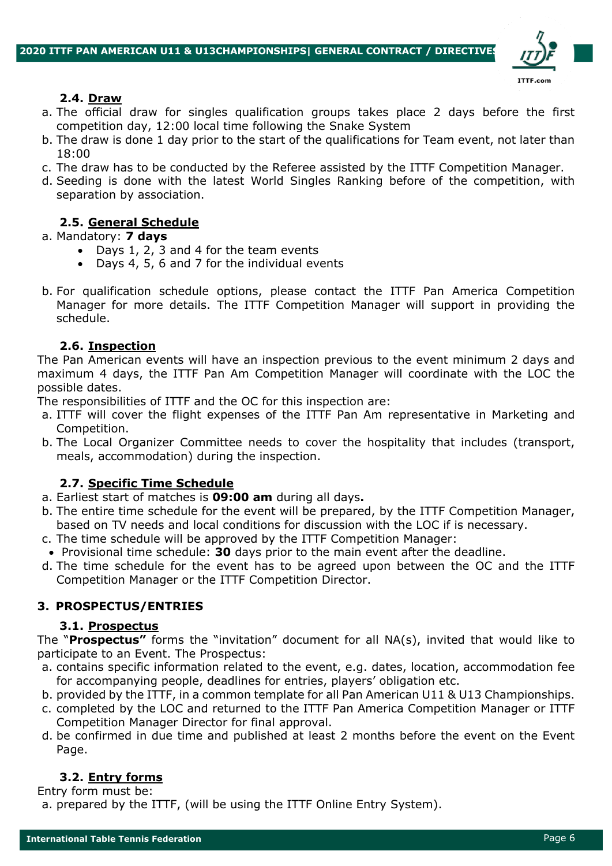

## **2.4. Draw**

- a. The official draw for singles qualification groups takes place 2 days before the first competition day, 12:00 local time following the Snake System
- b. The draw is done 1 day prior to the start of the qualifications for Team event, not later than 18:00
- c. The draw has to be conducted by the Referee assisted by the ITTF Competition Manager.
- d. Seeding is done with the latest World Singles Ranking before of the competition, with separation by association.

## **2.5. General Schedule**

#### a. Mandatory: **7 days**

- Days 1, 2, 3 and 4 for the team events
- Days 4, 5, 6 and 7 for the individual events
- b. For qualification schedule options, please contact the ITTF Pan America Competition Manager for more details. The ITTF Competition Manager will support in providing the schedule.

## **2.6. Inspection**

The Pan American events will have an inspection previous to the event minimum 2 days and maximum 4 days, the ITTF Pan Am Competition Manager will coordinate with the LOC the possible dates.

The responsibilities of ITTF and the OC for this inspection are:

- a. ITTF will cover the flight expenses of the ITTF Pan Am representative in Marketing and Competition.
- b. The Local Organizer Committee needs to cover the hospitality that includes (transport, meals, accommodation) during the inspection.

## **2.7. Specific Time Schedule**

- a. Earliest start of matches is **09:00 am** during all days**.**
- b. The entire time schedule for the event will be prepared, by the ITTF Competition Manager, based on TV needs and local conditions for discussion with the LOC if is necessary.
- c. The time schedule will be approved by the ITTF Competition Manager:
- Provisional time schedule: **30** days prior to the main event after the deadline.
- d. The time schedule for the event has to be agreed upon between the OC and the ITTF Competition Manager or the ITTF Competition Director.

## **3. PROSPECTUS/ENTRIES**

#### **3.1. Prospectus**

The "**Prospectus"** forms the "invitation" document for all NA(s), invited that would like to participate to an Event. The Prospectus:

- a. contains specific information related to the event, e.g. dates, location, accommodation fee for accompanying people, deadlines for entries, players' obligation etc.
- b. provided by the ITTF, in a common template for all Pan American U11 & U13 Championships.
- c. completed by the LOC and returned to the ITTF Pan America Competition Manager or ITTF Competition Manager Director for final approval.
- d. be confirmed in due time and published at least 2 months before the event on the Event Page.

## **3.2. Entry forms**

Entry form must be:

a. prepared by the ITTF, (will be using the ITTF Online Entry System).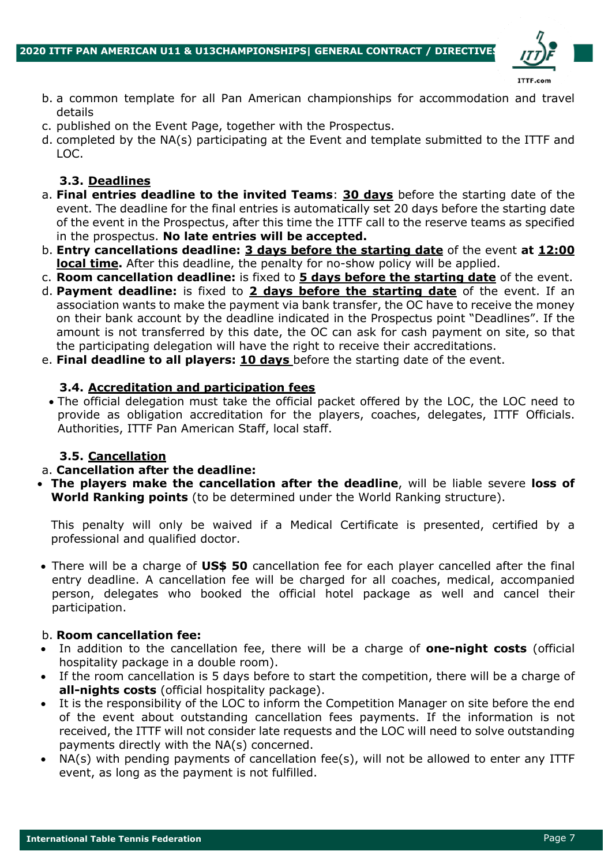

- b. a common template for all Pan American championships for accommodation and travel details
- c. published on the Event Page, together with the Prospectus.
- d. completed by the NA(s) participating at the Event and template submitted to the ITTF and LOC.

## **3.3. Deadlines**

- a. **Final entries deadline to the invited Teams**: **30 days** before the starting date of the event. The deadline for the final entries is automatically set 20 days before the starting date of the event in the Prospectus, after this time the ITTF call to the reserve teams as specified in the prospectus. **No late entries will be accepted.**
- b. **Entry cancellations deadline: 3 days before the starting date** of the event **at 12:00 local time.** After this deadline, the penalty for no-show policy will be applied.
- c. **Room cancellation deadline:** is fixed to **5 days before the starting date** of the event.
- d. **Payment deadline:** is fixed to **2 days before the starting date** of the event. If an association wants to make the payment via bank transfer, the OC have to receive the money on their bank account by the deadline indicated in the Prospectus point "Deadlines". If the amount is not transferred by this date, the OC can ask for cash payment on site, so that the participating delegation will have the right to receive their accreditations.
- e. **Final deadline to all players: 10 days** before the starting date of the event.

#### **3.4. Accreditation and participation fees**

• The official delegation must take the official packet offered by the LOC, the LOC need to provide as obligation accreditation for the players, coaches, delegates, ITTF Officials. Authorities, ITTF Pan American Staff, local staff.

## **3.5. Cancellation**

#### a. **Cancellation after the deadline:**

• **The players make the cancellation after the deadline**, will be liable severe **loss of World Ranking points** (to be determined under the World Ranking structure).

This penalty will only be waived if a Medical Certificate is presented, certified by a professional and qualified doctor.

• There will be a charge of **US\$ 50** cancellation fee for each player cancelled after the final entry deadline. A cancellation fee will be charged for all coaches, medical, accompanied person, delegates who booked the official hotel package as well and cancel their participation.

#### b. **Room cancellation fee:**

- In addition to the cancellation fee, there will be a charge of **one-night costs** (official hospitality package in a double room).
- If the room cancellation is 5 days before to start the competition, there will be a charge of **all-nights costs** (official hospitality package).
- It is the responsibility of the LOC to inform the Competition Manager on site before the end of the event about outstanding cancellation fees payments. If the information is not received, the ITTF will not consider late requests and the LOC will need to solve outstanding payments directly with the NA(s) concerned.
- NA(s) with pending payments of cancellation fee(s), will not be allowed to enter any ITTF event, as long as the payment is not fulfilled.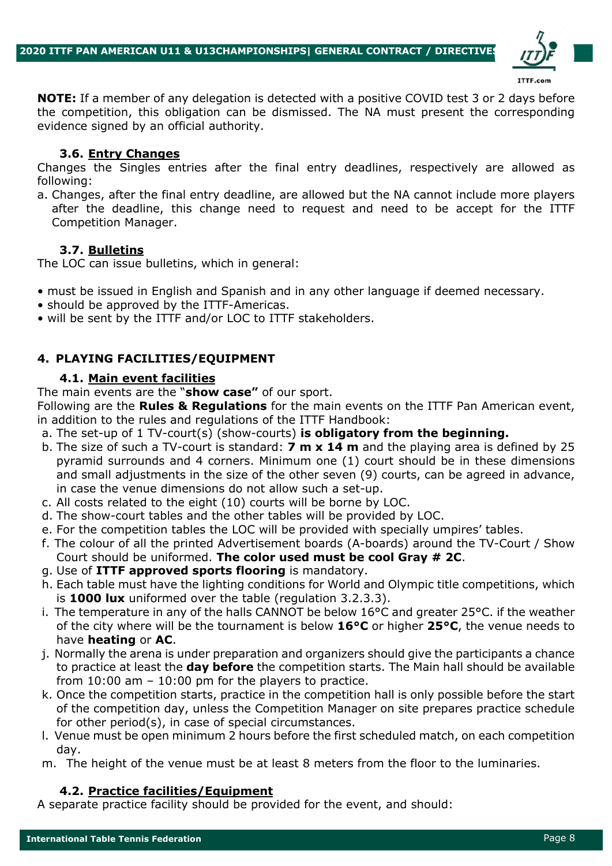

**NOTE:** If a member of any delegation is detected with a positive COVID test 3 or 2 days before the competition, this obligation can be dismissed. The NA must present the corresponding evidence signed by an official authority.

#### **3.6. Entry Changes**

Changes the Singles entries after the final entry deadlines, respectively are allowed as following:

a. Changes, after the final entry deadline, are allowed but the NA cannot include more players after the deadline, this change need to request and need to be accept for the ITTF Competition Manager.

#### **3.7. Bulletins**

The LOC can issue bulletins, which in general:

- must be issued in English and Spanish and in any other language if deemed necessary.
- should be approved by the ITTF-Americas.
- will be sent by the ITTF and/or LOC to ITTF stakeholders.

## **4. PLAYING FACILITIES/EQUIPMENT**

#### **4.1. Main event facilities**

The main events are the "**show case"** of our sport.

Following are the **Rules & Regulations** for the main events on the ITTF Pan American event, in addition to the rules and regulations of the ITTF Handbook:

- a. The set-up of 1 TV-court(s) (show-courts) **is obligatory from the beginning.**
- b. The size of such a TV-court is standard: **7 m x 14 m** and the playing area is defined by 25 pyramid surrounds and 4 corners. Minimum one (1) court should be in these dimensions and small adjustments in the size of the other seven (9) courts, can be agreed in advance, in case the venue dimensions do not allow such a set-up.
- c. All costs related to the eight (10) courts will be borne by LOC.
- d. The show-court tables and the other tables will be provided by LOC.
- e. For the competition tables the LOC will be provided with specially umpires' tables.
- f. The colour of all the printed Advertisement boards (A-boards) around the TV-Court / Show Court should be uniformed. **The color used must be cool Gray # 2C**.
- g. Use of **ITTF approved sports flooring** is mandatory.
- h. Each table must have the lighting conditions for World and Olympic title competitions, which is **1000 lux** uniformed over the table (regulation 3.2.3.3).
- i. The temperature in any of the halls CANNOT be below 16°C and greater 25°C. if the weather of the city where will be the tournament is below **16°C** or higher **25°C**, the venue needs to have **heating** or **AC**.
- j. Normally the arena is under preparation and organizers should give the participants a chance to practice at least the **day before** the competition starts. The Main hall should be available from  $10:00$  am  $-10:00$  pm for the players to practice.
- k. Once the competition starts, practice in the competition hall is only possible before the start of the competition day, unless the Competition Manager on site prepares practice schedule for other period(s), in case of special circumstances.
- l. Venue must be open minimum 2 hours before the first scheduled match, on each competition day.
- m. The height of the venue must be at least 8 meters from the floor to the luminaries.

#### **4.2. Practice facilities/Equipment**

A separate practice facility should be provided for the event, and should: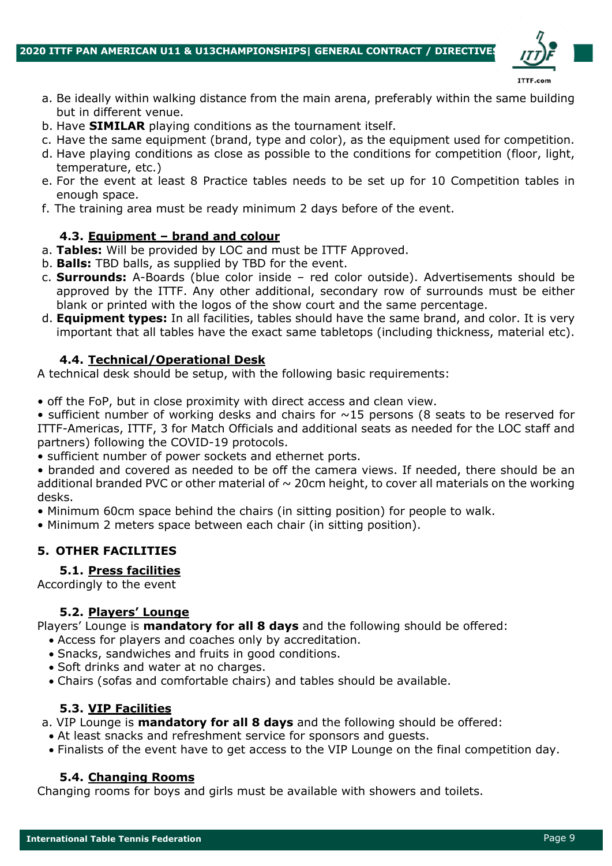

- a. Be ideally within walking distance from the main arena, preferably within the same building but in different venue.
- b. Have **SIMILAR** playing conditions as the tournament itself.
- c. Have the same equipment (brand, type and color), as the equipment used for competition.
- d. Have playing conditions as close as possible to the conditions for competition (floor, light, temperature, etc.)
- e. For the event at least 8 Practice tables needs to be set up for 10 Competition tables in enough space.
- f. The training area must be ready minimum 2 days before of the event.

#### **4.3. Equipment – brand and colour**

- a. **Tables:** Will be provided by LOC and must be ITTF Approved.
- b. **Balls:** TBD balls, as supplied by TBD for the event.
- c. **Surrounds:** A-Boards (blue color inside red color outside). Advertisements should be approved by the ITTF. Any other additional, secondary row of surrounds must be either blank or printed with the logos of the show court and the same percentage.
- d. **Equipment types:** In all facilities, tables should have the same brand, and color. It is very important that all tables have the exact same tabletops (including thickness, material etc).

#### **4.4. Technical/Operational Desk**

A technical desk should be setup, with the following basic requirements:

• off the FoP, but in close proximity with direct access and clean view.

• sufficient number of working desks and chairs for  $\sim$ 15 persons (8 seats to be reserved for ITTF-Americas, ITTF, 3 for Match Officials and additional seats as needed for the LOC staff and partners) following the COVID-19 protocols.

• sufficient number of power sockets and ethernet ports.

• branded and covered as needed to be off the camera views. If needed, there should be an additional branded PVC or other material of  $\sim$  20cm height, to cover all materials on the working desks.

• Minimum 60cm space behind the chairs (in sitting position) for people to walk.

• Minimum 2 meters space between each chair (in sitting position).

## **5. OTHER FACILITIES**

#### **5.1. Press facilities**

Accordingly to the event

#### **5.2. Players' Lounge**

Players' Lounge is **mandatory for all 8 days** and the following should be offered:

- Access for players and coaches only by accreditation.
- Snacks, sandwiches and fruits in good conditions.
- Soft drinks and water at no charges.
- Chairs (sofas and comfortable chairs) and tables should be available.

#### **5.3. VIP Facilities**

a. VIP Lounge is **mandatory for all 8 days** and the following should be offered:

- At least snacks and refreshment service for sponsors and guests.
- Finalists of the event have to get access to the VIP Lounge on the final competition day.

#### **5.4. Changing Rooms**

Changing rooms for boys and girls must be available with showers and toilets.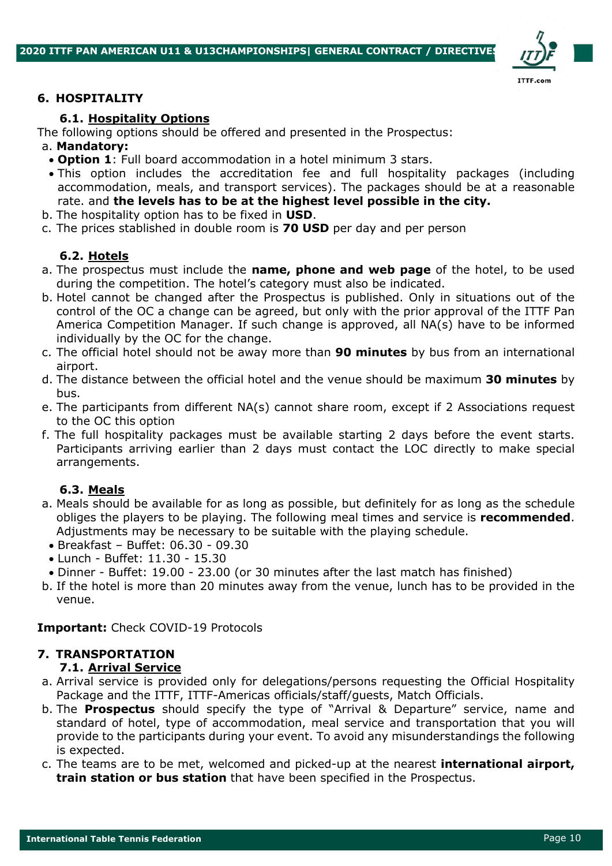

#### **6. HOSPITALITY**

#### **6.1. Hospitality Options**

The following options should be offered and presented in the Prospectus:

#### a. **Mandatory:**

- **Option 1**: Full board accommodation in a hotel minimum 3 stars.
- This option includes the accreditation fee and full hospitality packages (including accommodation, meals, and transport services). The packages should be at a reasonable rate. and **the levels has to be at the highest level possible in the city.**
- b. The hospitality option has to be fixed in **USD**.
- c. The prices stablished in double room is **70 USD** per day and per person

#### **6.2. Hotels**

- a. The prospectus must include the **name, phone and web page** of the hotel, to be used during the competition. The hotel's category must also be indicated.
- b. Hotel cannot be changed after the Prospectus is published. Only in situations out of the control of the OC a change can be agreed, but only with the prior approval of the ITTF Pan America Competition Manager. If such change is approved, all NA(s) have to be informed individually by the OC for the change.
- c. The official hotel should not be away more than **90 minutes** by bus from an international airport.
- d. The distance between the official hotel and the venue should be maximum **30 minutes** by bus.
- e. The participants from different NA(s) cannot share room, except if 2 Associations request to the OC this option
- f. The full hospitality packages must be available starting 2 days before the event starts. Participants arriving earlier than 2 days must contact the LOC directly to make special arrangements.

### **6.3. Meals**

- a. Meals should be available for as long as possible, but definitely for as long as the schedule obliges the players to be playing. The following meal times and service is **recommended**. Adjustments may be necessary to be suitable with the playing schedule.
	- Breakfast Buffet: 06.30 09.30
	- Lunch Buffet: 11.30 15.30
- Dinner Buffet: 19.00 23.00 (or 30 minutes after the last match has finished)
- b. If the hotel is more than 20 minutes away from the venue, lunch has to be provided in the venue.

#### **Important:** Check COVID-19 Protocols

## **7. TRANSPORTATION**

#### **7.1. Arrival Service**

- a. Arrival service is provided only for delegations/persons requesting the Official Hospitality Package and the ITTF, ITTF-Americas officials/staff/guests, Match Officials.
- b. The **Prospectus** should specify the type of "Arrival & Departure" service, name and standard of hotel, type of accommodation, meal service and transportation that you will provide to the participants during your event. To avoid any misunderstandings the following is expected.
- c. The teams are to be met, welcomed and picked-up at the nearest **international airport, train station or bus station** that have been specified in the Prospectus.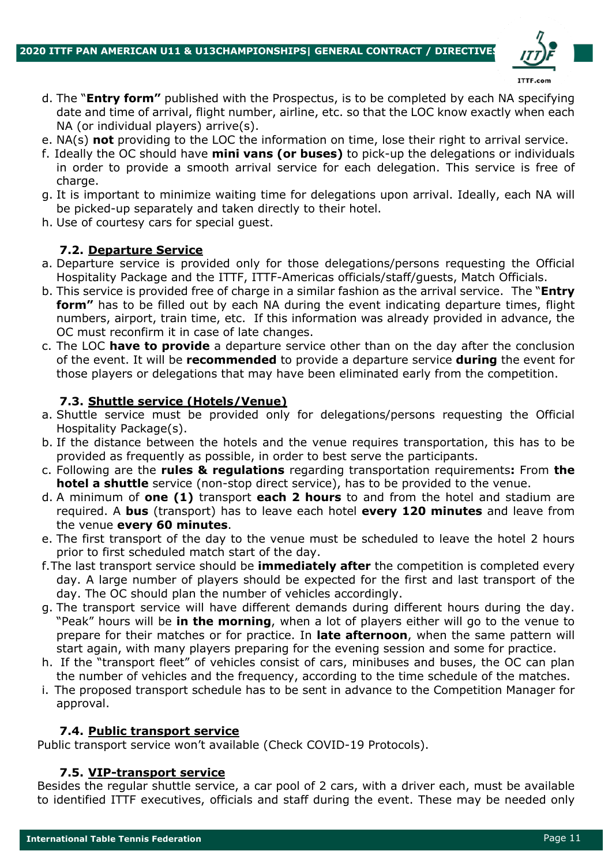

- d. The "**Entry form"** published with the Prospectus, is to be completed by each NA specifying date and time of arrival, flight number, airline, etc. so that the LOC know exactly when each NA (or individual players) arrive(s).
- e. NA(s) **not** providing to the LOC the information on time, lose their right to arrival service.
- f. Ideally the OC should have **mini vans (or buses)** to pick-up the delegations or individuals in order to provide a smooth arrival service for each delegation. This service is free of charge.
- g. It is important to minimize waiting time for delegations upon arrival. Ideally, each NA will be picked-up separately and taken directly to their hotel.
- h. Use of courtesy cars for special guest.

#### **7.2. Departure Service**

- a. Departure service is provided only for those delegations/persons requesting the Official Hospitality Package and the ITTF, ITTF-Americas officials/staff/guests, Match Officials.
- b. This service is provided free of charge in a similar fashion as the arrival service. The "**Entry form"** has to be filled out by each NA during the event indicating departure times, flight numbers, airport, train time, etc. If this information was already provided in advance, the OC must reconfirm it in case of late changes.
- c. The LOC **have to provide** a departure service other than on the day after the conclusion of the event. It will be **recommended** to provide a departure service **during** the event for those players or delegations that may have been eliminated early from the competition.

#### **7.3. Shuttle service (Hotels/Venue)**

- a. Shuttle service must be provided only for delegations/persons requesting the Official Hospitality Package(s).
- b. If the distance between the hotels and the venue requires transportation, this has to be provided as frequently as possible, in order to best serve the participants.
- c. Following are the **rules & regulations** regarding transportation requirements**:** From **the hotel a shuttle** service (non-stop direct service), has to be provided to the venue.
- d. A minimum of **one (1)** transport **each 2 hours** to and from the hotel and stadium are required. A **bus** (transport) has to leave each hotel **every 120 minutes** and leave from the venue **every 60 minutes**.
- e. The first transport of the day to the venue must be scheduled to leave the hotel 2 hours prior to first scheduled match start of the day.
- f.The last transport service should be **immediately after** the competition is completed every day. A large number of players should be expected for the first and last transport of the day. The OC should plan the number of vehicles accordingly.
- g. The transport service will have different demands during different hours during the day. "Peak" hours will be **in the morning**, when a lot of players either will go to the venue to prepare for their matches or for practice. In **late afternoon**, when the same pattern will start again, with many players preparing for the evening session and some for practice.
- h. If the "transport fleet" of vehicles consist of cars, minibuses and buses, the OC can plan the number of vehicles and the frequency, according to the time schedule of the matches.
- i. The proposed transport schedule has to be sent in advance to the Competition Manager for approval.

#### **7.4. Public transport service**

Public transport service won't available (Check COVID-19 Protocols).

#### **7.5. VIP-transport service**

Besides the regular shuttle service, a car pool of 2 cars, with a driver each, must be available to identified ITTF executives, officials and staff during the event. These may be needed only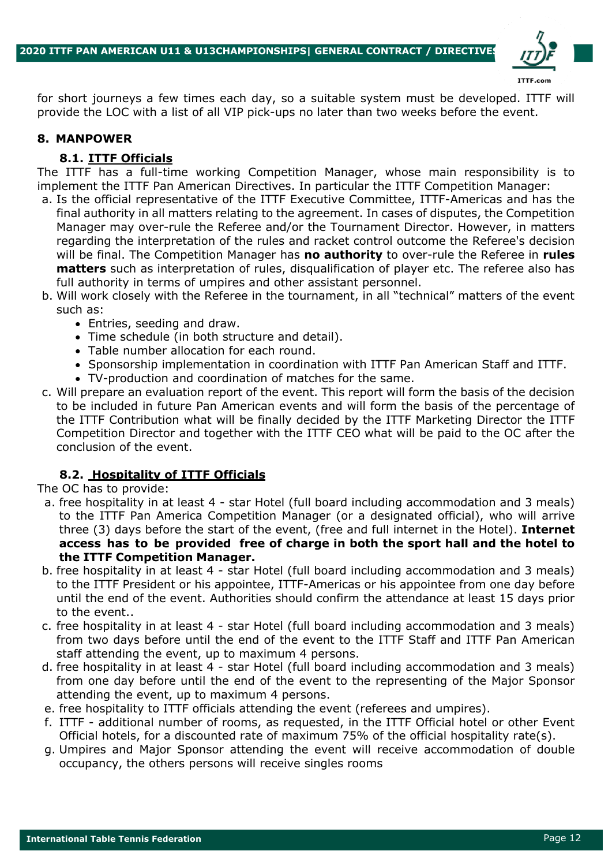

for short journeys a few times each day, so a suitable system must be developed. ITTF will provide the LOC with a list of all VIP pick-ups no later than two weeks before the event.

### **8. MANPOWER**

#### **8.1. ITTF Officials**

The ITTF has a full-time working Competition Manager, whose main responsibility is to implement the ITTF Pan American Directives. In particular the ITTF Competition Manager:

- a. Is the official representative of the ITTF Executive Committee, ITTF-Americas and has the final authority in all matters relating to the agreement. In cases of disputes, the Competition Manager may over-rule the Referee and/or the Tournament Director. However, in matters regarding the interpretation of the rules and racket control outcome the Referee's decision will be final. The Competition Manager has **no authority** to over-rule the Referee in **rules matters** such as interpretation of rules, disqualification of player etc. The referee also has full authority in terms of umpires and other assistant personnel.
- b. Will work closely with the Referee in the tournament, in all "technical" matters of the event such as:
	- Entries, seeding and draw.
	- Time schedule (in both structure and detail).
	- Table number allocation for each round.
	- Sponsorship implementation in coordination with ITTF Pan American Staff and ITTF.
	- TV-production and coordination of matches for the same.
- c. Will prepare an evaluation report of the event. This report will form the basis of the decision to be included in future Pan American events and will form the basis of the percentage of the ITTF Contribution what will be finally decided by the ITTF Marketing Director the ITTF Competition Director and together with the ITTF CEO what will be paid to the OC after the conclusion of the event.

## **8.2. Hospitality of ITTF Officials**

The OC has to provide:

- a. free hospitality in at least 4 star Hotel (full board including accommodation and 3 meals) to the ITTF Pan America Competition Manager (or a designated official), who will arrive three (3) days before the start of the event, (free and full internet in the Hotel). **Internet access has to be provided free of charge in both the sport hall and the hotel to the ITTF Competition Manager.**
- b. free hospitality in at least 4 star Hotel (full board including accommodation and 3 meals) to the ITTF President or his appointee, ITTF-Americas or his appointee from one day before until the end of the event. Authorities should confirm the attendance at least 15 days prior to the event..
- c. free hospitality in at least 4 star Hotel (full board including accommodation and 3 meals) from two days before until the end of the event to the ITTF Staff and ITTF Pan American staff attending the event, up to maximum 4 persons.
- d. free hospitality in at least 4 star Hotel (full board including accommodation and 3 meals) from one day before until the end of the event to the representing of the Major Sponsor attending the event, up to maximum 4 persons.
- e. free hospitality to ITTF officials attending the event (referees and umpires).
- f. ITTF additional number of rooms, as requested, in the ITTF Official hotel or other Event Official hotels, for a discounted rate of maximum 75% of the official hospitality rate(s).
- g. Umpires and Major Sponsor attending the event will receive accommodation of double occupancy, the others persons will receive singles rooms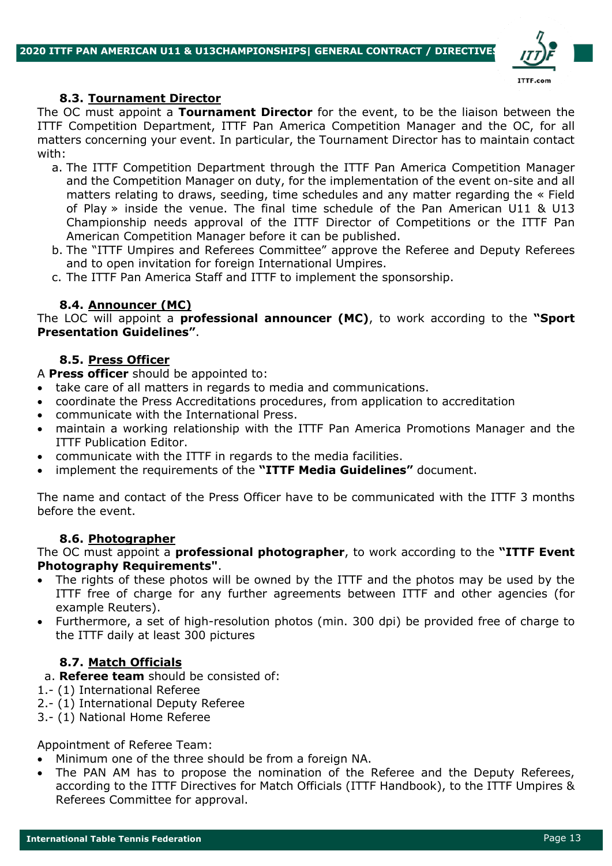

#### **8.3. Tournament Director**

The OC must appoint a **Tournament Director** for the event, to be the liaison between the ITTF Competition Department, ITTF Pan America Competition Manager and the OC, for all matters concerning your event. In particular, the Tournament Director has to maintain contact with:

- a. The ITTF Competition Department through the ITTF Pan America Competition Manager and the Competition Manager on duty, for the implementation of the event on-site and all matters relating to draws, seeding, time schedules and any matter regarding the « Field of Play » inside the venue. The final time schedule of the Pan American U11 & U13 Championship needs approval of the ITTF Director of Competitions or the ITTF Pan American Competition Manager before it can be published.
- b. The "ITTF Umpires and Referees Committee" approve the Referee and Deputy Referees and to open invitation for foreign International Umpires.
- c. The ITTF Pan America Staff and ITTF to implement the sponsorship.

#### **8.4. Announcer (MC)**

The LOC will appoint a **professional announcer (MC)**, to work according to the **"Sport Presentation Guidelines"**.

## **8.5. Press Officer**

A **Press officer** should be appointed to:

- take care of all matters in regards to media and communications.
- coordinate the Press Accreditations procedures, from application to accreditation
- communicate with the International Press.
- maintain a working relationship with the ITTF Pan America Promotions Manager and the ITTF Publication Editor.
- communicate with the ITTF in regards to the media facilities.
- implement the requirements of the **"ITTF Media Guidelines"** document.

The name and contact of the Press Officer have to be communicated with the ITTF 3 months before the event.

## **8.6. Photographer**

The OC must appoint a **professional photographer**, to work according to the **"ITTF Event Photography Requirements"**.

- The rights of these photos will be owned by the ITTF and the photos may be used by the ITTF free of charge for any further agreements between ITTF and other agencies (for example Reuters).
- Furthermore, a set of high-resolution photos (min. 300 dpi) be provided free of charge to the ITTF daily at least 300 pictures

## **8.7. Match Officials**

- a. **Referee team** should be consisted of:
- 1.- (1) International Referee
- 2.- (1) International Deputy Referee
- 3.- (1) National Home Referee

Appointment of Referee Team:

- Minimum one of the three should be from a foreign NA.
- The PAN AM has to propose the nomination of the Referee and the Deputy Referees, according to the ITTF Directives for Match Officials (ITTF Handbook), to the ITTF Umpires & Referees Committee for approval.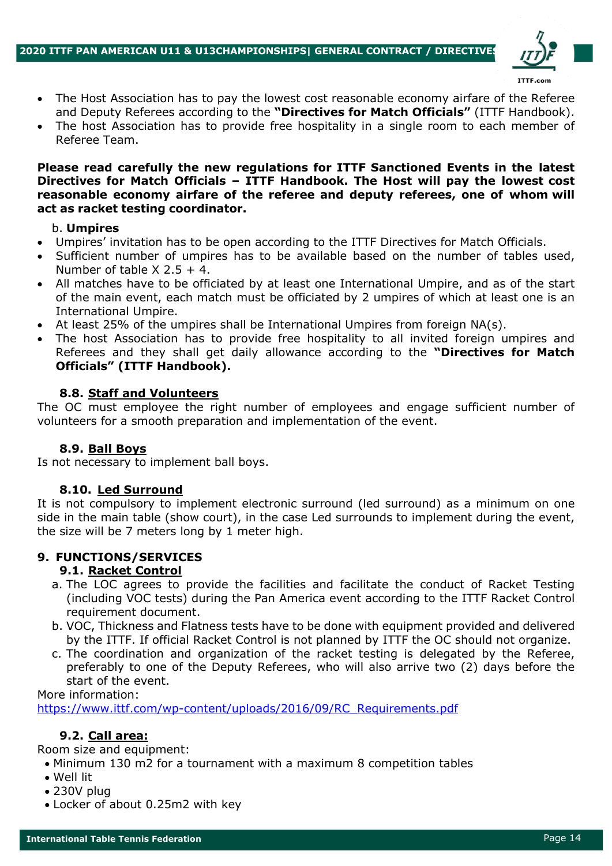

- The Host Association has to pay the lowest cost reasonable economy airfare of the Referee and Deputy Referees according to the **"Directives for Match Officials"** (ITTF Handbook).
- The host Association has to provide free hospitality in a single room to each member of Referee Team.

**Please read carefully the new regulations for ITTF Sanctioned Events in the latest Directives for Match Officials – ITTF Handbook. The Host will pay the lowest cost reasonable economy airfare of the referee and deputy referees, one of whom will act as racket testing coordinator.**

#### b. **Umpires**

- Umpires' invitation has to be open according to the ITTF Directives for Match Officials.
- Sufficient number of umpires has to be available based on the number of tables used, Number of table  $X$  2.5 + 4.
- All matches have to be officiated by at least one International Umpire, and as of the start of the main event, each match must be officiated by 2 umpires of which at least one is an International Umpire.
- At least 25% of the umpires shall be International Umpires from foreign NA(s).
- The host Association has to provide free hospitality to all invited foreign umpires and Referees and they shall get daily allowance according to the **"Directives for Match Officials" (ITTF Handbook).**

#### **8.8. Staff and Volunteers**

The OC must employee the right number of employees and engage sufficient number of volunteers for a smooth preparation and implementation of the event.

#### **8.9. Ball Boys**

Is not necessary to implement ball boys.

#### **8.10. Led Surround**

It is not compulsory to implement electronic surround (led surround) as a minimum on one side in the main table (show court), in the case Led surrounds to implement during the event, the size will be 7 meters long by 1 meter high.

## **9. FUNCTIONS/SERVICES**

#### **9.1. Racket Control**

- a. The LOC agrees to provide the facilities and facilitate the conduct of Racket Testing (including VOC tests) during the Pan America event according to the ITTF Racket Control requirement document.
- b. VOC, Thickness and Flatness tests have to be done with equipment provided and delivered by the ITTF. If official Racket Control is not planned by ITTF the OC should not organize.
- c. The coordination and organization of the racket testing is delegated by the Referee, preferably to one of the Deputy Referees, who will also arrive two (2) days before the start of the event.

More information:

https://www.ittf.com/wp-content/uploads/2016/09/RC\_Requirements.pdf

#### **9.2. Call area:**

Room size and equipment:

- Minimum 130 m2 for a tournament with a maximum 8 competition tables
- Well lit
- 230V plug
- Locker of about 0.25m2 with key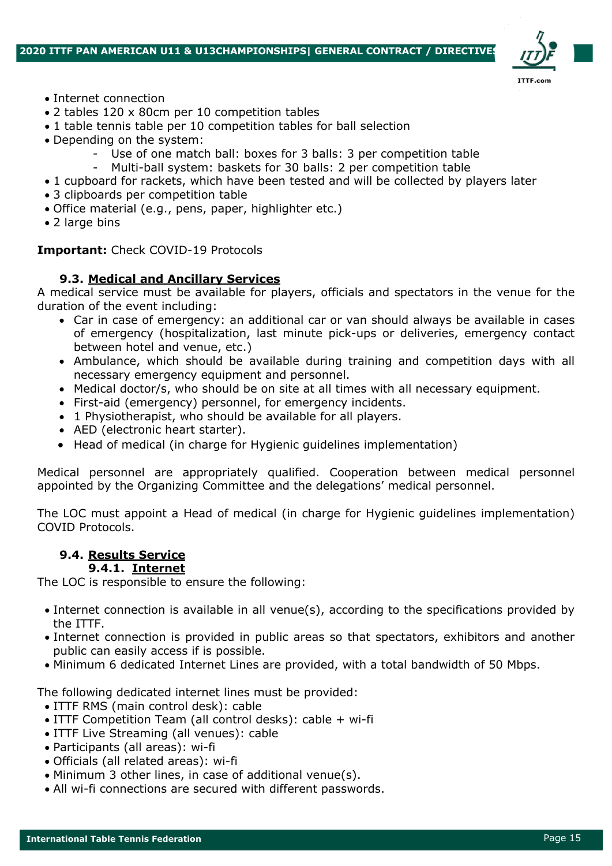

- Internet connection
- 2 tables 120 x 80cm per 10 competition tables
- 1 table tennis table per 10 competition tables for ball selection
- Depending on the system:
	- Use of one match ball: boxes for 3 balls: 3 per competition table
	- Multi-ball system: baskets for 30 balls: 2 per competition table
- 1 cupboard for rackets, which have been tested and will be collected by players later
- 3 clipboards per competition table
- Office material (e.g., pens, paper, highlighter etc.)
- 2 large bins

#### **Important:** Check COVID-19 Protocols

## **9.3. Medical and Ancillary Services**

A medical service must be available for players, officials and spectators in the venue for the duration of the event including:

- Car in case of emergency: an additional car or van should always be available in cases of emergency (hospitalization, last minute pick-ups or deliveries, emergency contact between hotel and venue, etc.)
- Ambulance, which should be available during training and competition days with all necessary emergency equipment and personnel.
- Medical doctor/s, who should be on site at all times with all necessary equipment.
- First-aid (emergency) personnel, for emergency incidents.
- 1 Physiotherapist, who should be available for all players.
- AED (electronic heart starter).
- Head of medical (in charge for Hygienic guidelines implementation)

Medical personnel are appropriately qualified. Cooperation between medical personnel appointed by the Organizing Committee and the delegations' medical personnel.

The LOC must appoint a Head of medical (in charge for Hygienic guidelines implementation) COVID Protocols.

# **9.4. Results Service**

# **9.4.1. Internet**

The LOC is responsible to ensure the following:

- Internet connection is available in all venue(s), according to the specifications provided by the ITTF.
- Internet connection is provided in public areas so that spectators, exhibitors and another public can easily access if is possible.
- Minimum 6 dedicated Internet Lines are provided, with a total bandwidth of 50 Mbps.

The following dedicated internet lines must be provided:

- ITTF RMS (main control desk): cable
- ITTF Competition Team (all control desks): cable + wi-fi
- ITTF Live Streaming (all venues): cable
- Participants (all areas): wi-fi
- Officials (all related areas): wi-fi
- Minimum 3 other lines, in case of additional venue(s).
- All wi-fi connections are secured with different passwords.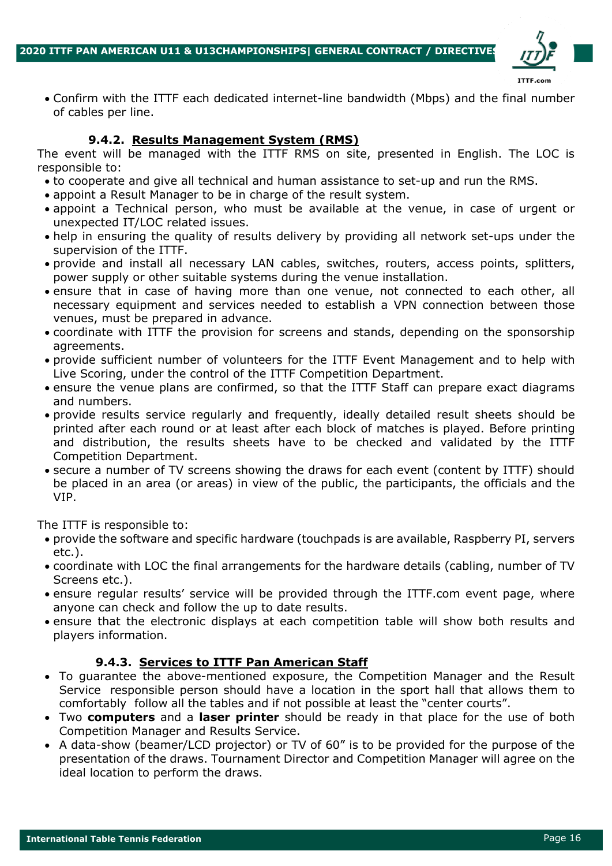

• Confirm with the ITTF each dedicated internet-line bandwidth (Mbps) and the final number of cables per line.

## **9.4.2. Results Management System (RMS)**

The event will be managed with the ITTF RMS on site, presented in English. The LOC is responsible to:

- to cooperate and give all technical and human assistance to set-up and run the RMS.
- appoint a Result Manager to be in charge of the result system.
- appoint a Technical person, who must be available at the venue, in case of urgent or unexpected IT/LOC related issues.
- help in ensuring the quality of results delivery by providing all network set-ups under the supervision of the ITTF.
- provide and install all necessary LAN cables, switches, routers, access points, splitters, power supply or other suitable systems during the venue installation.
- ensure that in case of having more than one venue, not connected to each other, all necessary equipment and services needed to establish a VPN connection between those venues, must be prepared in advance.
- coordinate with ITTF the provision for screens and stands, depending on the sponsorship agreements.
- provide sufficient number of volunteers for the ITTF Event Management and to help with Live Scoring, under the control of the ITTF Competition Department.
- ensure the venue plans are confirmed, so that the ITTF Staff can prepare exact diagrams and numbers.
- provide results service regularly and frequently, ideally detailed result sheets should be printed after each round or at least after each block of matches is played. Before printing and distribution, the results sheets have to be checked and validated by the ITTF Competition Department.
- secure a number of TV screens showing the draws for each event (content by ITTF) should be placed in an area (or areas) in view of the public, the participants, the officials and the VIP.

The ITTF is responsible to:

- provide the software and specific hardware (touchpads is are available, Raspberry PI, servers etc.).
- coordinate with LOC the final arrangements for the hardware details (cabling, number of TV Screens etc.).
- ensure regular results' service will be provided through the ITTF.com event page, where anyone can check and follow the up to date results.
- ensure that the electronic displays at each competition table will show both results and players information.

## **9.4.3. Services to ITTF Pan American Staff**

- To guarantee the above-mentioned exposure, the Competition Manager and the Result Service responsible person should have a location in the sport hall that allows them to comfortably follow all the tables and if not possible at least the "center courts".
- Two **computers** and a **laser printer** should be ready in that place for the use of both Competition Manager and Results Service.
- A data-show (beamer/LCD projector) or TV of 60" is to be provided for the purpose of the presentation of the draws. Tournament Director and Competition Manager will agree on the ideal location to perform the draws.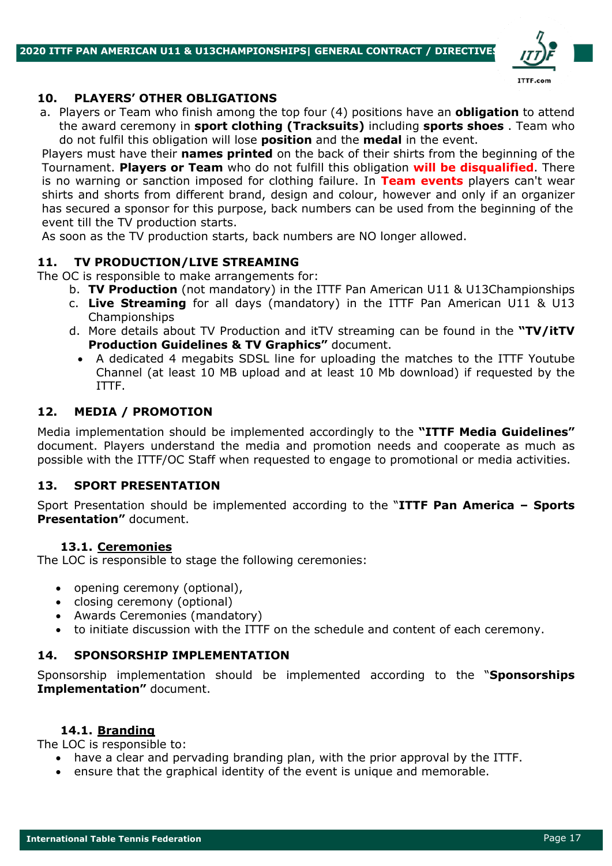

#### **10. PLAYERS' OTHER OBLIGATIONS**

a. Players or Team who finish among the top four (4) positions have an **obligation** to attend the award ceremony in **sport clothing (Tracksuits)** including **sports shoes** . Team who do not fulfil this obligation will lose **position** and the **medal** in the event.

Players must have their **names printed** on the back of their shirts from the beginning of the Tournament. **Players or Team** who do not fulfill this obligation **will be disqualified**. There is no warning or sanction imposed for clothing failure. In **Team events** players can't wear shirts and shorts from different brand, design and colour, however and only if an organizer has secured a sponsor for this purpose, back numbers can be used from the beginning of the event till the TV production starts.

As soon as the TV production starts, back numbers are NO longer allowed.

## **11. TV PRODUCTION/LIVE STREAMING**

The OC is responsible to make arrangements for:

- b. **TV Production** (not mandatory) in the ITTF Pan American U11 & U13Championships
- c. **Live Streaming** for all days (mandatory) in the ITTF Pan American U11 & U13 Championships
- d. More details about TV Production and itTV streaming can be found in the **"TV/itTV Production Guidelines & TV Graphics"** document.
	- A dedicated 4 megabits SDSL line for uploading the matches to the ITTF Youtube Channel (at least 10 MB upload and at least 10 Mb download) if requested by the ITTF.

## **12. MEDIA / PROMOTION**

Media implementation should be implemented accordingly to the **"ITTF Media Guidelines"**  document. Players understand the media and promotion needs and cooperate as much as possible with the ITTF/OC Staff when requested to engage to promotional or media activities.

## **13. SPORT PRESENTATION**

Sport Presentation should be implemented according to the "**ITTF Pan America – Sports Presentation"** document.

## **13.1. Ceremonies**

The LOC is responsible to stage the following ceremonies:

- opening ceremony (optional),
- closing ceremony (optional)
- Awards Ceremonies (mandatory)
- to initiate discussion with the ITTF on the schedule and content of each ceremony.

## **14. SPONSORSHIP IMPLEMENTATION**

Sponsorship implementation should be implemented according to the "**Sponsorships Implementation"** document.

#### **14.1. Branding**

The LOC is responsible to:

- have a clear and pervading branding plan, with the prior approval by the ITTF.
- ensure that the graphical identity of the event is unique and memorable.